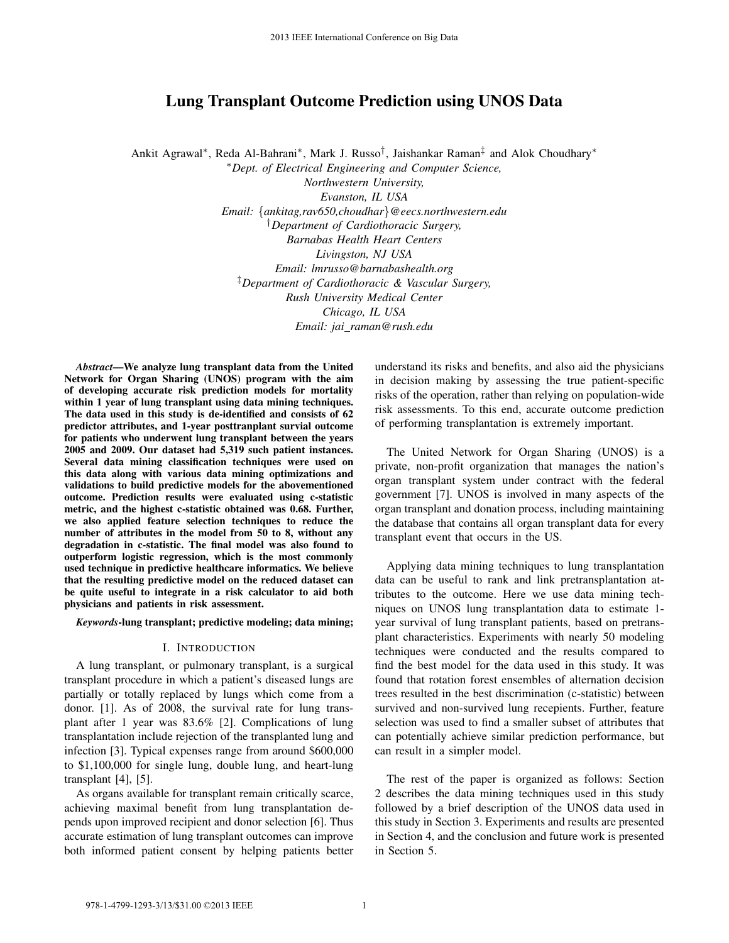# Lung Transplant Outcome Prediction using UNOS Data

Ankit Agrawal\*, Reda Al-Bahrani\*, Mark J. Russo<sup>†</sup>, Jaishankar Raman<sup>‡</sup> and Alok Choudhary\*

<sup>∗</sup>*Dept. of Electrical Engineering and Computer Science,*

*Northwestern University, Evanston, IL USA Email:* {*ankitag,rav650,choudhar*}*@eecs.northwestern.edu* †*Department of Cardiothoracic Surgery, Barnabas Health Heart Centers Livingston, NJ USA Email: lmrusso@barnabashealth.org* ‡*Department of Cardiothoracic & Vascular Surgery, Rush University Medical Center Chicago, IL USA Email: jai raman@rush.edu*

*Abstract*—We analyze lung transplant data from the United Network for Organ Sharing (UNOS) program with the aim of developing accurate risk prediction models for mortality within 1 year of lung transplant using data mining techniques. The data used in this study is de-identified and consists of 62 predictor attributes, and 1-year posttranplant survial outcome for patients who underwent lung transplant between the years 2005 and 2009. Our dataset had 5,319 such patient instances. Several data mining classification techniques were used on this data along with various data mining optimizations and validations to build predictive models for the abovementioned outcome. Prediction results were evaluated using c-statistic metric, and the highest c-statistic obtained was 0.68. Further, we also applied feature selection techniques to reduce the number of attributes in the model from 50 to 8, without any degradation in c-statistic. The final model was also found to outperform logistic regression, which is the most commonly used technique in predictive healthcare informatics. We believe that the resulting predictive model on the reduced dataset can be quite useful to integrate in a risk calculator to aid both physicians and patients in risk assessment. 2013 IEEE International Conference on Big Data 978-1-118-16 Entropic on Big Data<br>
2013 IEEE International Conference on Big Data<br>
2014 Activity Prop. of Electrical Engineemic of Consensers (Lois and Consensers)<br>
2014 Acti

*Keywords*-lung transplant; predictive modeling; data mining;

#### I. INTRODUCTION

A lung transplant, or pulmonary transplant, is a surgical transplant procedure in which a patient's diseased lungs are partially or totally replaced by lungs which come from a donor. [1]. As of 2008, the survival rate for lung transplant after 1 year was 83.6% [2]. Complications of lung transplantation include rejection of the transplanted lung and infection [3]. Typical expenses range from around \$600,000 to \$1,100,000 for single lung, double lung, and heart-lung transplant [4], [5].

As organs available for transplant remain critically scarce, achieving maximal benefit from lung transplantation depends upon improved recipient and donor selection [6]. Thus accurate estimation of lung transplant outcomes can improve both informed patient consent by helping patients better understand its risks and benefits, and also aid the physicians in decision making by assessing the true patient-specific risks of the operation, rather than relying on population-wide risk assessments. To this end, accurate outcome prediction of performing transplantation is extremely important.

The United Network for Organ Sharing (UNOS) is a private, non-profit organization that manages the nation's organ transplant system under contract with the federal government [7]. UNOS is involved in many aspects of the organ transplant and donation process, including maintaining the database that contains all organ transplant data for every transplant event that occurs in the US.

Applying data mining techniques to lung transplantation data can be useful to rank and link pretransplantation attributes to the outcome. Here we use data mining techniques on UNOS lung transplantation data to estimate 1 year survival of lung transplant patients, based on pretransplant characteristics. Experiments with nearly 50 modeling techniques were conducted and the results compared to find the best model for the data used in this study. It was found that rotation forest ensembles of alternation decision trees resulted in the best discrimination (c-statistic) between survived and non-survived lung recepients. Further, feature selection was used to find a smaller subset of attributes that can potentially achieve similar prediction performance, but can result in a simpler model.

The rest of the paper is organized as follows: Section 2 describes the data mining techniques used in this study followed by a brief description of the UNOS data used in this study in Section 3. Experiments and results are presented in Section 4, and the conclusion and future work is presented in Section 5.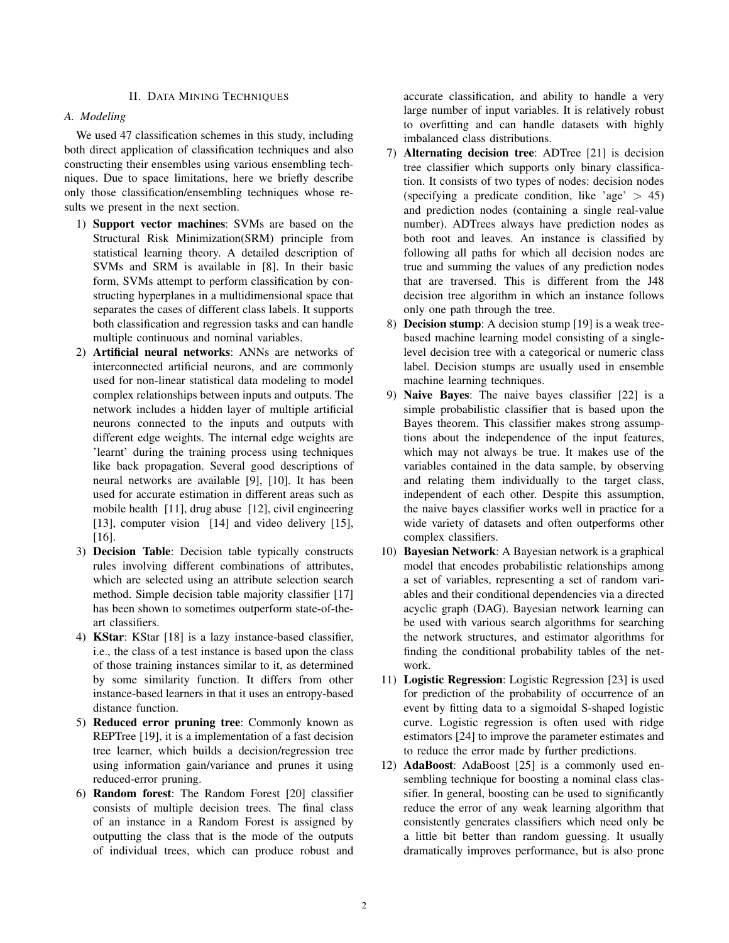## II. DATA MINING TECHNIQUES

# *A. Modeling*

We used 47 classification schemes in this study, including both direct application of classification techniques and also constructing their ensembles using various ensembling techniques. Due to space limitations, here we briefly describe only those classification/ensembling techniques whose results we present in the next section.

- 1) Support vector machines: SVMs are based on the Structural Risk Minimization(SRM) principle from statistical learning theory. A detailed description of SVMs and SRM is available in [8]. In their basic form, SVMs attempt to perform classification by constructing hyperplanes in a multidimensional space that separates the cases of different class labels. It supports both classification and regression tasks and can handle multiple continuous and nominal variables.
- 2) Artificial neural networks: ANNs are networks of interconnected artificial neurons, and are commonly used for non-linear statistical data modeling to model complex relationships between inputs and outputs. The network includes a hidden layer of multiple artificial neurons connected to the inputs and outputs with different edge weights. The internal edge weights are 'learnt' during the training process using techniques like back propagation. Several good descriptions of neural networks are available [9], [10]. It has been used for accurate estimation in different areas such as mobile health [11], drug abuse [12], civil engineering [13], computer vision [14] and video delivery [15], [16].
- 3) Decision Table: Decision table typically constructs rules involving different combinations of attributes, which are selected using an attribute selection search method. Simple decision table majority classifier [17] has been shown to sometimes outperform state-of-theart classifiers.
- 4) KStar: KStar [18] is a lazy instance-based classifier, i.e., the class of a test instance is based upon the class of those training instances similar to it, as determined by some similarity function. It differs from other instance-based learners in that it uses an entropy-based distance function.
- 5) Reduced error pruning tree: Commonly known as REPTree [19], it is a implementation of a fast decision tree learner, which builds a decision/regression tree using information gain/variance and prunes it using reduced-error pruning.
- 6) Random forest: The Random Forest [20] classifier consists of multiple decision trees. The final class of an instance in a Random Forest is assigned by outputting the class that is the mode of the outputs of individual trees, which can produce robust and

accurate classification, and ability to handle a very large number of input variables. It is relatively robust to overfitting and can handle datasets with highly imbalanced class distributions.

- 7) Alternating decision tree: ADTree [21] is decision tree classifier which supports only binary classification. It consists of two types of nodes: decision nodes (specifying a predicate condition, like 'age' > 45) and prediction nodes (containing a single real-value number). ADTrees always have prediction nodes as both root and leaves. An instance is classified by following all paths for which all decision nodes are true and summing the values of any prediction nodes that are traversed. This is different from the J48 decision tree algorithm in which an instance follows only one path through the tree.
- 8) Decision stump: A decision stump [19] is a weak treebased machine learning model consisting of a singlelevel decision tree with a categorical or numeric class label. Decision stumps are usually used in ensemble machine learning techniques.
- 9) Naive Bayes: The naive bayes classifier [22] is a simple probabilistic classifier that is based upon the Bayes theorem. This classifier makes strong assumptions about the independence of the input features, which may not always be true. It makes use of the variables contained in the data sample, by observing and relating them individually to the target class, independent of each other. Despite this assumption, the naive bayes classifier works well in practice for a wide variety of datasets and often outperforms other complex classifiers.
- 10) Bayesian Network: A Bayesian network is a graphical model that encodes probabilistic relationships among a set of variables, representing a set of random variables and their conditional dependencies via a directed acyclic graph (DAG). Bayesian network learning can be used with various search algorithms for searching the network structures, and estimator algorithms for finding the conditional probability tables of the network.
- 11) Logistic Regression: Logistic Regression [23] is used for prediction of the probability of occurrence of an event by fitting data to a sigmoidal S-shaped logistic curve. Logistic regression is often used with ridge estimators [24] to improve the parameter estimates and to reduce the error made by further predictions.
- 12) AdaBoost: AdaBoost [25] is a commonly used ensembling technique for boosting a nominal class classifier. In general, boosting can be used to significantly reduce the error of any weak learning algorithm that consistently generates classifiers which need only be a little bit better than random guessing. It usually dramatically improves performance, but is also prone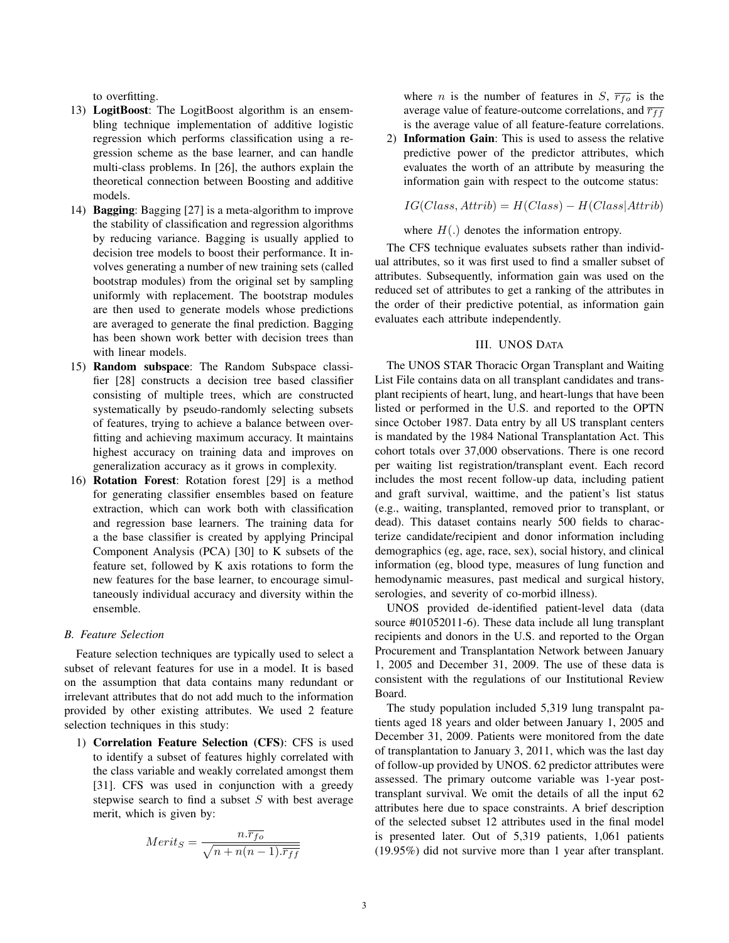to overfitting.

- 13) LogitBoost: The LogitBoost algorithm is an ensembling technique implementation of additive logistic regression which performs classification using a regression scheme as the base learner, and can handle multi-class problems. In [26], the authors explain the theoretical connection between Boosting and additive models.
- 14) Bagging: Bagging [27] is a meta-algorithm to improve the stability of classification and regression algorithms by reducing variance. Bagging is usually applied to decision tree models to boost their performance. It involves generating a number of new training sets (called bootstrap modules) from the original set by sampling uniformly with replacement. The bootstrap modules are then used to generate models whose predictions are averaged to generate the final prediction. Bagging has been shown work better with decision trees than with linear models.
- 15) Random subspace: The Random Subspace classifier [28] constructs a decision tree based classifier consisting of multiple trees, which are constructed systematically by pseudo-randomly selecting subsets of features, trying to achieve a balance between overfitting and achieving maximum accuracy. It maintains highest accuracy on training data and improves on generalization accuracy as it grows in complexity.
- 16) Rotation Forest: Rotation forest [29] is a method for generating classifier ensembles based on feature extraction, which can work both with classification and regression base learners. The training data for a the base classifier is created by applying Principal Component Analysis (PCA) [30] to K subsets of the feature set, followed by K axis rotations to form the new features for the base learner, to encourage simultaneously individual accuracy and diversity within the ensemble.

#### *B. Feature Selection*

Feature selection techniques are typically used to select a subset of relevant features for use in a model. It is based on the assumption that data contains many redundant or irrelevant attributes that do not add much to the information provided by other existing attributes. We used 2 feature selection techniques in this study:

1) Correlation Feature Selection (CFS): CFS is used to identify a subset of features highly correlated with the class variable and weakly correlated amongst them [31]. CFS was used in conjunction with a greedy stepwise search to find a subset  $S$  with best average merit, which is given by:

$$
Merit_S = \frac{n.\overline{r_{fo}}}{\sqrt{n+n(n-1).\overline{r_{ff}}}}
$$

where *n* is the number of features in *S*,  $\overline{r_{fo}}$  is the average value of feature-outcome correlations, and  $\overline{r_{ff}}$ is the average value of all feature-feature correlations.

2) Information Gain: This is used to assess the relative predictive power of the predictor attributes, which evaluates the worth of an attribute by measuring the information gain with respect to the outcome status:

$$
IG(Class, Attrib) = H(Class) - H(Class|Attrib)
$$

where  $H(.)$  denotes the information entropy.

The CFS technique evaluates subsets rather than individual attributes, so it was first used to find a smaller subset of attributes. Subsequently, information gain was used on the reduced set of attributes to get a ranking of the attributes in the order of their predictive potential, as information gain evaluates each attribute independently.

## III. UNOS DATA

The UNOS STAR Thoracic Organ Transplant and Waiting List File contains data on all transplant candidates and transplant recipients of heart, lung, and heart-lungs that have been listed or performed in the U.S. and reported to the OPTN since October 1987. Data entry by all US transplant centers is mandated by the 1984 National Transplantation Act. This cohort totals over 37,000 observations. There is one record per waiting list registration/transplant event. Each record includes the most recent follow-up data, including patient and graft survival, waittime, and the patient's list status (e.g., waiting, transplanted, removed prior to transplant, or dead). This dataset contains nearly 500 fields to characterize candidate/recipient and donor information including demographics (eg, age, race, sex), social history, and clinical information (eg, blood type, measures of lung function and hemodynamic measures, past medical and surgical history, serologies, and severity of co-morbid illness).

UNOS provided de-identified patient-level data (data source #01052011-6). These data include all lung transplant recipients and donors in the U.S. and reported to the Organ Procurement and Transplantation Network between January 1, 2005 and December 31, 2009. The use of these data is consistent with the regulations of our Institutional Review Board.

The study population included 5,319 lung transpalnt patients aged 18 years and older between January 1, 2005 and December 31, 2009. Patients were monitored from the date of transplantation to January 3, 2011, which was the last day of follow-up provided by UNOS. 62 predictor attributes were assessed. The primary outcome variable was 1-year posttransplant survival. We omit the details of all the input 62 attributes here due to space constraints. A brief description of the selected subset 12 attributes used in the final model is presented later. Out of 5,319 patients, 1,061 patients (19.95%) did not survive more than 1 year after transplant.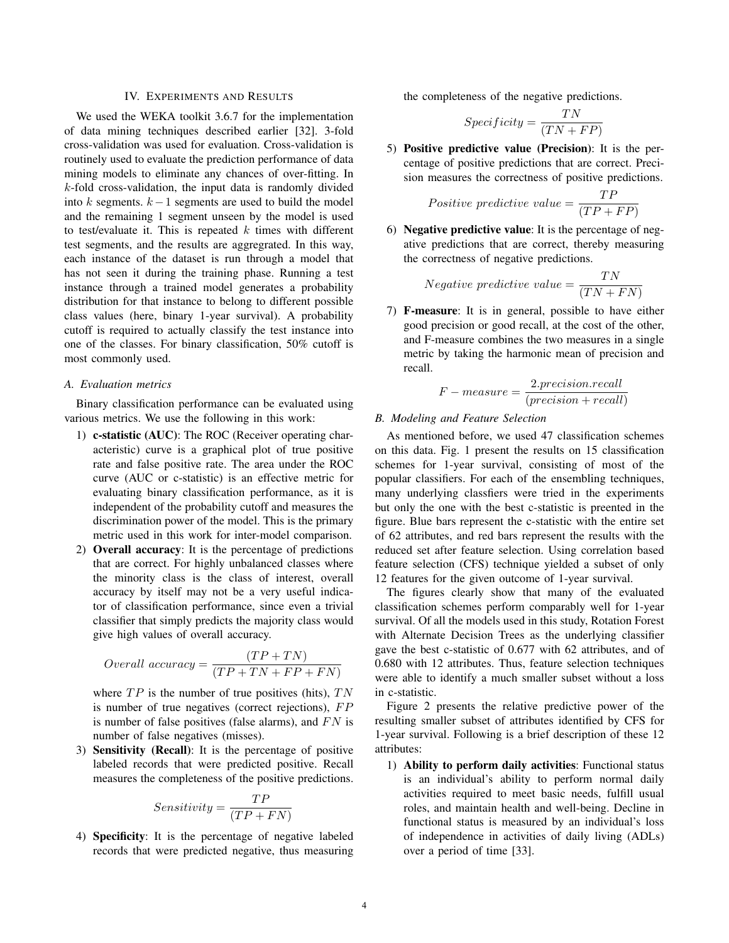## IV. EXPERIMENTS AND RESULTS

We used the WEKA toolkit 3.6.7 for the implementation of data mining techniques described earlier [32]. 3-fold cross-validation was used for evaluation. Cross-validation is routinely used to evaluate the prediction performance of data mining models to eliminate any chances of over-fitting. In  $k$ -fold cross-validation, the input data is randomly divided into k segments.  $k-1$  segments are used to build the model and the remaining 1 segment unseen by the model is used to test/evaluate it. This is repeated  $k$  times with different test segments, and the results are aggregrated. In this way, each instance of the dataset is run through a model that has not seen it during the training phase. Running a test instance through a trained model generates a probability distribution for that instance to belong to different possible class values (here, binary 1-year survival). A probability cutoff is required to actually classify the test instance into one of the classes. For binary classification, 50% cutoff is most commonly used.

#### *A. Evaluation metrics*

Binary classification performance can be evaluated using various metrics. We use the following in this work:

- 1) c-statistic (AUC): The ROC (Receiver operating characteristic) curve is a graphical plot of true positive rate and false positive rate. The area under the ROC curve (AUC or c-statistic) is an effective metric for evaluating binary classification performance, as it is independent of the probability cutoff and measures the discrimination power of the model. This is the primary metric used in this work for inter-model comparison.
- 2) Overall accuracy: It is the percentage of predictions that are correct. For highly unbalanced classes where the minority class is the class of interest, overall accuracy by itself may not be a very useful indicator of classification performance, since even a trivial classifier that simply predicts the majority class would give high values of overall accuracy.

$$
Overall\ accuracy = \frac{(TP + TN)}{(TP + TN + FP + FN)}
$$

where  $TP$  is the number of true positives (hits),  $TN$ is number of true negatives (correct rejections),  $FP$ is number of false positives (false alarms), and  $FN$  is number of false negatives (misses).

3) Sensitivity (Recall): It is the percentage of positive labeled records that were predicted positive. Recall measures the completeness of the positive predictions.

$$
Sensitivity = \frac{TP}{(TP + FN)}
$$

4) Specificity: It is the percentage of negative labeled records that were predicted negative, thus measuring the completeness of the negative predictions.

$$
Specificity = \frac{TN}{(TN + FP)}
$$

5) Positive predictive value (Precision): It is the percentage of positive predictions that are correct. Precision measures the correctness of positive predictions.

$$
Positive\,\, predictive\,\,value = \frac{TP}{(TP + FP)}
$$

6) Negative predictive value: It is the percentage of negative predictions that are correct, thereby measuring the correctness of negative predictions.

Negative predictive value = 
$$
\frac{TN}{(TN + FN)}
$$

7) F-measure: It is in general, possible to have either good precision or good recall, at the cost of the other, and F-measure combines the two measures in a single metric by taking the harmonic mean of precision and recall.

$$
F-measure = \frac{2.precision. recall}{(precision + recall)}
$$

## *B. Modeling and Feature Selection*

As mentioned before, we used 47 classification schemes on this data. Fig. 1 present the results on 15 classification schemes for 1-year survival, consisting of most of the popular classifiers. For each of the ensembling techniques, many underlying classfiers were tried in the experiments but only the one with the best c-statistic is preented in the figure. Blue bars represent the c-statistic with the entire set of 62 attributes, and red bars represent the results with the reduced set after feature selection. Using correlation based feature selection (CFS) technique yielded a subset of only 12 features for the given outcome of 1-year survival.

The figures clearly show that many of the evaluated classification schemes perform comparably well for 1-year survival. Of all the models used in this study, Rotation Forest with Alternate Decision Trees as the underlying classifier gave the best c-statistic of 0.677 with 62 attributes, and of 0.680 with 12 attributes. Thus, feature selection techniques were able to identify a much smaller subset without a loss in c-statistic.

Figure 2 presents the relative predictive power of the resulting smaller subset of attributes identified by CFS for 1-year survival. Following is a brief description of these 12 attributes:

1) Ability to perform daily activities: Functional status is an individual's ability to perform normal daily activities required to meet basic needs, fulfill usual roles, and maintain health and well-being. Decline in functional status is measured by an individual's loss of independence in activities of daily living (ADLs) over a period of time [33].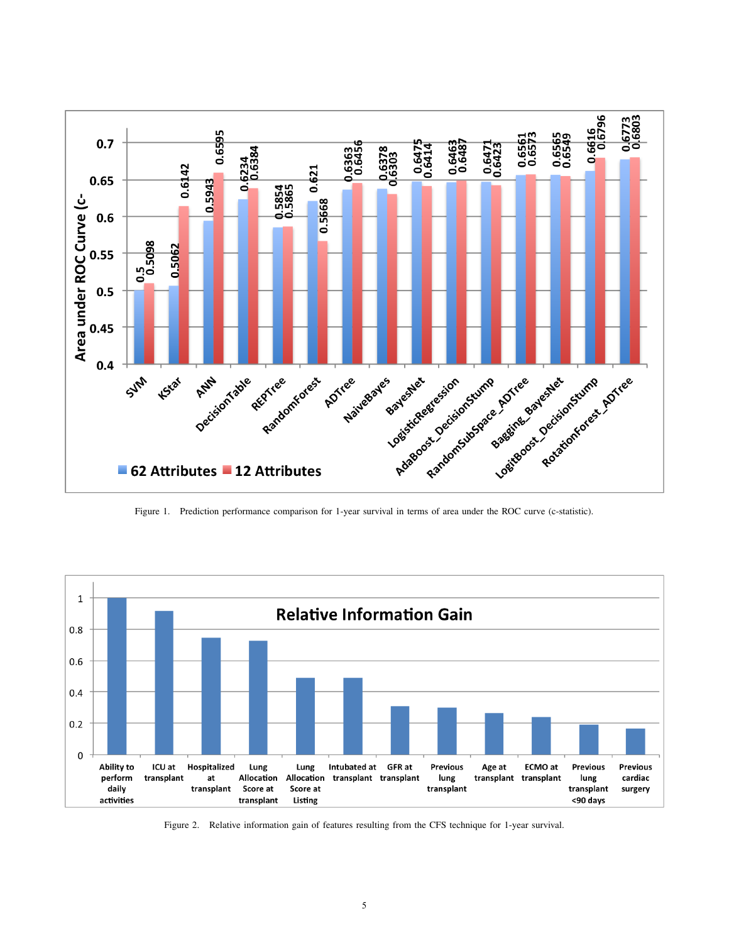

Figure 1. Prediction performance comparison for 1-year survival in terms of area under the ROC curve (c-statistic).



Figure 2. Relative information gain of features resulting from the CFS technique for 1-year survival.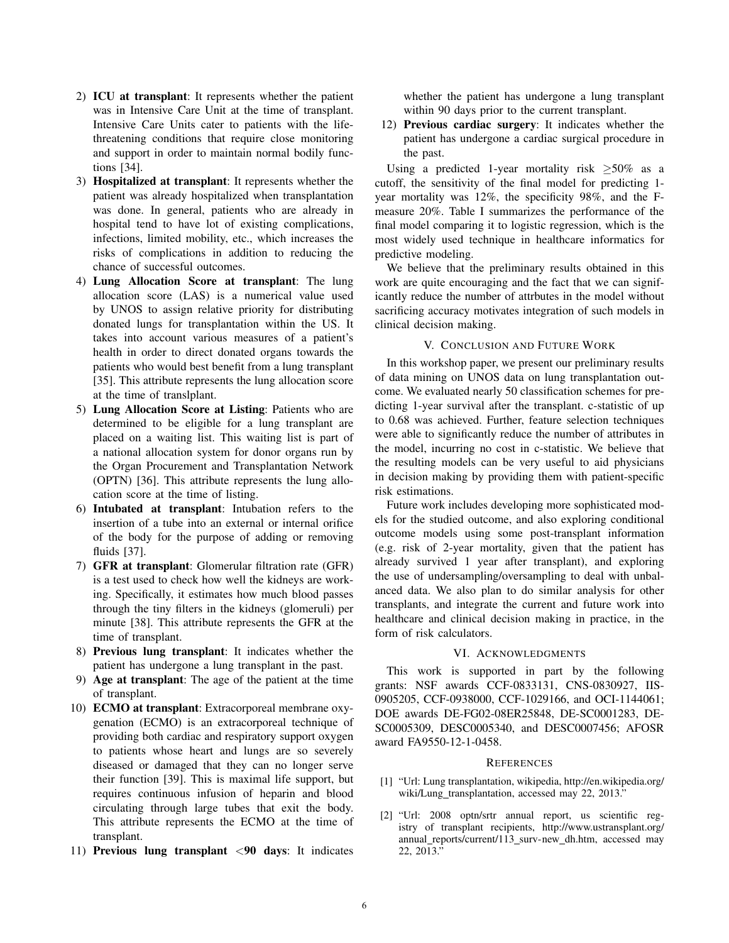- 2) ICU at transplant: It represents whether the patient was in Intensive Care Unit at the time of transplant. Intensive Care Units cater to patients with the lifethreatening conditions that require close monitoring and support in order to maintain normal bodily functions [34].
- 3) Hospitalized at transplant: It represents whether the patient was already hospitalized when transplantation was done. In general, patients who are already in hospital tend to have lot of existing complications, infections, limited mobility, etc., which increases the risks of complications in addition to reducing the chance of successful outcomes.
- 4) Lung Allocation Score at transplant: The lung allocation score (LAS) is a numerical value used by UNOS to assign relative priority for distributing donated lungs for transplantation within the US. It takes into account various measures of a patient's health in order to direct donated organs towards the patients who would best benefit from a lung transplant [35]. This attribute represents the lung allocation score at the time of translplant.
- 5) Lung Allocation Score at Listing: Patients who are determined to be eligible for a lung transplant are placed on a waiting list. This waiting list is part of a national allocation system for donor organs run by the Organ Procurement and Transplantation Network (OPTN) [36]. This attribute represents the lung allocation score at the time of listing.
- 6) Intubated at transplant: Intubation refers to the insertion of a tube into an external or internal orifice of the body for the purpose of adding or removing fluids [37].
- 7) GFR at transplant: Glomerular filtration rate (GFR) is a test used to check how well the kidneys are working. Specifically, it estimates how much blood passes through the tiny filters in the kidneys (glomeruli) per minute [38]. This attribute represents the GFR at the time of transplant.
- 8) Previous lung transplant: It indicates whether the patient has undergone a lung transplant in the past.
- 9) Age at transplant: The age of the patient at the time of transplant.
- 10) ECMO at transplant: Extracorporeal membrane oxygenation (ECMO) is an extracorporeal technique of providing both cardiac and respiratory support oxygen to patients whose heart and lungs are so severely diseased or damaged that they can no longer serve their function [39]. This is maximal life support, but requires continuous infusion of heparin and blood circulating through large tubes that exit the body. This attribute represents the ECMO at the time of transplant.
- 11) Previous lung transplant <90 days: It indicates

whether the patient has undergone a lung transplant within 90 days prior to the current transplant.

12) Previous cardiac surgery: It indicates whether the patient has undergone a cardiac surgical procedure in the past.

Using a predicted 1-year mortality risk  $\geq 50\%$  as a cutoff, the sensitivity of the final model for predicting 1 year mortality was 12%, the specificity 98%, and the Fmeasure 20%. Table I summarizes the performance of the final model comparing it to logistic regression, which is the most widely used technique in healthcare informatics for predictive modeling.

We believe that the preliminary results obtained in this work are quite encouraging and the fact that we can significantly reduce the number of attrbutes in the model without sacrificing accuracy motivates integration of such models in clinical decision making.

## V. CONCLUSION AND FUTURE WORK

In this workshop paper, we present our preliminary results of data mining on UNOS data on lung transplantation outcome. We evaluated nearly 50 classification schemes for predicting 1-year survival after the transplant. c-statistic of up to 0.68 was achieved. Further, feature selection techniques were able to significantly reduce the number of attributes in the model, incurring no cost in c-statistic. We believe that the resulting models can be very useful to aid physicians in decision making by providing them with patient-specific risk estimations.

Future work includes developing more sophisticated models for the studied outcome, and also exploring conditional outcome models using some post-transplant information (e.g. risk of 2-year mortality, given that the patient has already survived 1 year after transplant), and exploring the use of undersampling/oversampling to deal with unbalanced data. We also plan to do similar analysis for other transplants, and integrate the current and future work into healthcare and clinical decision making in practice, in the form of risk calculators.

#### VI. ACKNOWLEDGMENTS

This work is supported in part by the following grants: NSF awards CCF-0833131, CNS-0830927, IIS-0905205, CCF-0938000, CCF-1029166, and OCI-1144061; DOE awards DE-FG02-08ER25848, DE-SC0001283, DE-SC0005309, DESC0005340, and DESC0007456; AFOSR award FA9550-12-1-0458.

#### **REFERENCES**

- [1] "Url: Lung transplantation, wikipedia, http://en.wikipedia.org/ wiki/Lung\_transplantation, accessed may 22, 2013."
- [2] "Url: 2008 optn/srtr annual report, us scientific registry of transplant recipients, http://www.ustransplant.org/ annual\_reports/current/113\_surv-new\_dh.htm, accessed may 22, 2013."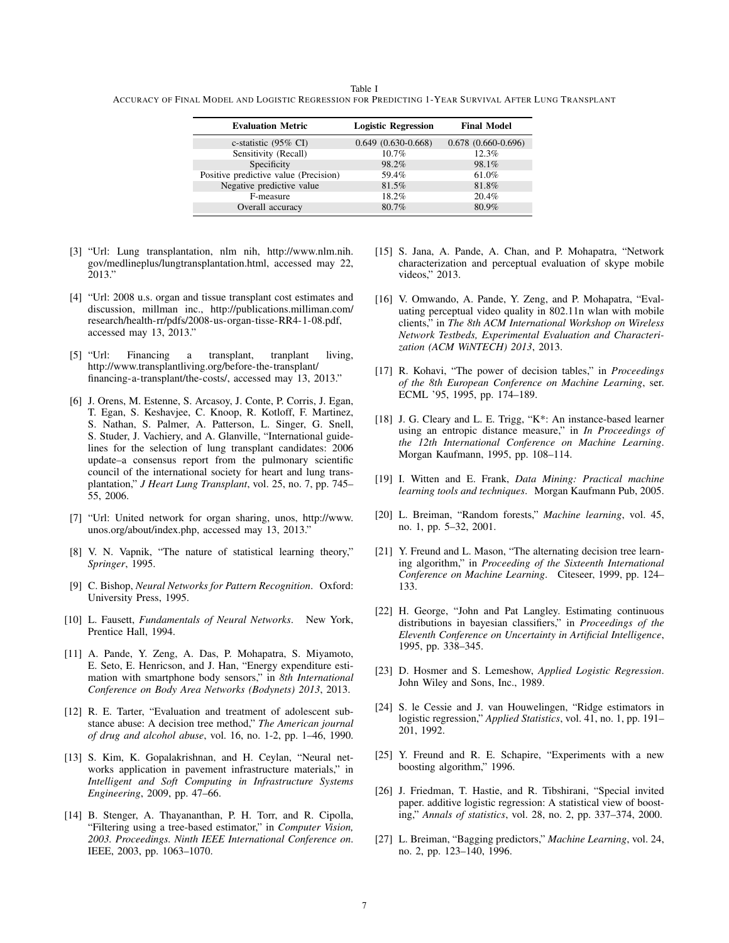Table I ACCURACY OF FINAL MODEL AND LOGISTIC REGRESSION FOR PREDICTING 1-YEAR SURVIVAL AFTER LUNG TRANSPLANT

| <b>Evaluation Metric</b>              | <b>Logistic Regression</b> | <b>Final Model</b>   |
|---------------------------------------|----------------------------|----------------------|
|                                       |                            |                      |
| c-statistic (95% CI)                  | $0.649(0.630-0.668)$       | $0.678(0.660-0.696)$ |
| Sensitivity (Recall)                  | 10.7%                      | 12.3%                |
| Specificity                           | 98.2%                      | 98.1%                |
| Positive predictive value (Precision) | 59.4%                      | 61.0%                |
| Negative predictive value             | 81.5%                      | 81.8%                |
| F-measure                             | 18.2%                      | 20.4%                |
| Overall accuracy                      | 80.7%                      | 80.9%                |
|                                       |                            |                      |

- [3] "Url: Lung transplantation, nlm nih, http://www.nlm.nih. gov/medlineplus/lungtransplantation.html, accessed may 22, 2013."
- [4] "Url: 2008 u.s. organ and tissue transplant cost estimates and discussion, millman inc., http://publications.milliman.com/ research/health-rr/pdfs/2008-us-organ-tisse-RR4-1-08.pdf, accessed may 13, 2013."
- [5] "Url: Financing a transplant, tranplant living, http://www.transplantliving.org/before-the-transplant/ financing-a-transplant/the-costs/, accessed may 13, 2013."
- [6] J. Orens, M. Estenne, S. Arcasoy, J. Conte, P. Corris, J. Egan, T. Egan, S. Keshavjee, C. Knoop, R. Kotloff, F. Martinez, S. Nathan, S. Palmer, A. Patterson, L. Singer, G. Snell, S. Studer, J. Vachiery, and A. Glanville, "International guidelines for the selection of lung transplant candidates: 2006 update–a consensus report from the pulmonary scientific council of the international society for heart and lung transplantation," *J Heart Lung Transplant*, vol. 25, no. 7, pp. 745– 55, 2006.
- [7] "Url: United network for organ sharing, unos, http://www. unos.org/about/index.php, accessed may 13, 2013."
- [8] V. N. Vapnik, "The nature of statistical learning theory," *Springer*, 1995.
- [9] C. Bishop, *Neural Networks for Pattern Recognition*. Oxford: University Press, 1995.
- [10] L. Fausett, *Fundamentals of Neural Networks*. New York, Prentice Hall, 1994.
- [11] A. Pande, Y. Zeng, A. Das, P. Mohapatra, S. Miyamoto, E. Seto, E. Henricson, and J. Han, "Energy expenditure estimation with smartphone body sensors," in *8th International Conference on Body Area Networks (Bodynets) 2013*, 2013.
- [12] R. E. Tarter, "Evaluation and treatment of adolescent substance abuse: A decision tree method," *The American journal of drug and alcohol abuse*, vol. 16, no. 1-2, pp. 1–46, 1990.
- [13] S. Kim, K. Gopalakrishnan, and H. Ceylan, "Neural networks application in pavement infrastructure materials," in *Intelligent and Soft Computing in Infrastructure Systems Engineering*, 2009, pp. 47–66.
- [14] B. Stenger, A. Thayananthan, P. H. Torr, and R. Cipolla, "Filtering using a tree-based estimator," in *Computer Vision, 2003. Proceedings. Ninth IEEE International Conference on*. IEEE, 2003, pp. 1063–1070.
- [15] S. Jana, A. Pande, A. Chan, and P. Mohapatra, "Network" characterization and perceptual evaluation of skype mobile videos," 2013.
- [16] V. Omwando, A. Pande, Y. Zeng, and P. Mohapatra, "Evaluating perceptual video quality in 802.11n wlan with mobile clients," in *The 8th ACM International Workshop on Wireless Network Testbeds, Experimental Evaluation and Characterization (ACM WiNTECH) 2013*, 2013.
- [17] R. Kohavi, "The power of decision tables," in *Proceedings of the 8th European Conference on Machine Learning*, ser. ECML '95, 1995, pp. 174–189.
- [18] J. G. Cleary and L. E. Trigg, "K\*: An instance-based learner using an entropic distance measure," in *In Proceedings of the 12th International Conference on Machine Learning*. Morgan Kaufmann, 1995, pp. 108–114.
- [19] I. Witten and E. Frank, *Data Mining: Practical machine learning tools and techniques*. Morgan Kaufmann Pub, 2005.
- [20] L. Breiman, "Random forests," *Machine learning*, vol. 45, no. 1, pp. 5–32, 2001.
- [21] Y. Freund and L. Mason, "The alternating decision tree learning algorithm," in *Proceeding of the Sixteenth International Conference on Machine Learning*. Citeseer, 1999, pp. 124– 133.
- [22] H. George, "John and Pat Langley. Estimating continuous distributions in bayesian classifiers," in *Proceedings of the Eleventh Conference on Uncertainty in Artificial Intelligence*, 1995, pp. 338–345.
- [23] D. Hosmer and S. Lemeshow, *Applied Logistic Regression*. John Wiley and Sons, Inc., 1989.
- [24] S. le Cessie and J. van Houwelingen, "Ridge estimators in logistic regression," *Applied Statistics*, vol. 41, no. 1, pp. 191– 201, 1992.
- [25] Y. Freund and R. E. Schapire, "Experiments with a new boosting algorithm," 1996.
- [26] J. Friedman, T. Hastie, and R. Tibshirani, "Special invited paper. additive logistic regression: A statistical view of boosting," *Annals of statistics*, vol. 28, no. 2, pp. 337–374, 2000.
- [27] L. Breiman, "Bagging predictors," *Machine Learning*, vol. 24, no. 2, pp. 123–140, 1996.